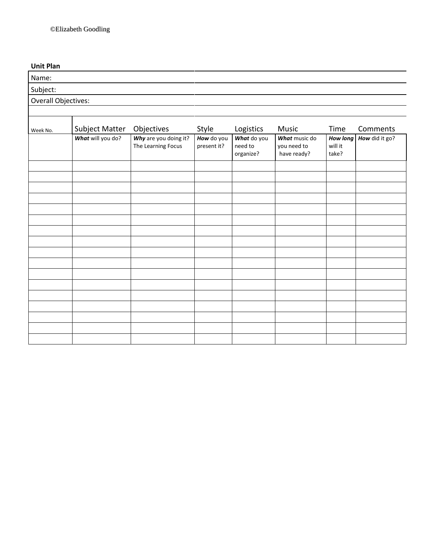# **Unit Plan**

| Name:               |                   |                                             |                           |                                     |                                             |                                     |                |
|---------------------|-------------------|---------------------------------------------|---------------------------|-------------------------------------|---------------------------------------------|-------------------------------------|----------------|
| Subject:            |                   |                                             |                           |                                     |                                             |                                     |                |
| Overall Objectives: |                   |                                             |                           |                                     |                                             |                                     |                |
|                     |                   |                                             |                           |                                     |                                             |                                     |                |
| Week No.            | Subject Matter    | Objectives                                  | Style                     | Logistics                           | Music                                       | Time                                | Comments       |
|                     | What will you do? | Why are you doing it?<br>The Learning Focus | How do you<br>present it? | What do you<br>need to<br>organize? | What music do<br>you need to<br>have ready? | <b>How long</b><br>will it<br>take? | How did it go? |
|                     |                   |                                             |                           |                                     |                                             |                                     |                |
|                     |                   |                                             |                           |                                     |                                             |                                     |                |
|                     |                   |                                             |                           |                                     |                                             |                                     |                |
|                     |                   |                                             |                           |                                     |                                             |                                     |                |
|                     |                   |                                             |                           |                                     |                                             |                                     |                |
|                     |                   |                                             |                           |                                     |                                             |                                     |                |
|                     |                   |                                             |                           |                                     |                                             |                                     |                |
|                     |                   |                                             |                           |                                     |                                             |                                     |                |
|                     |                   |                                             |                           |                                     |                                             |                                     |                |
|                     |                   |                                             |                           |                                     |                                             |                                     |                |
|                     |                   |                                             |                           |                                     |                                             |                                     |                |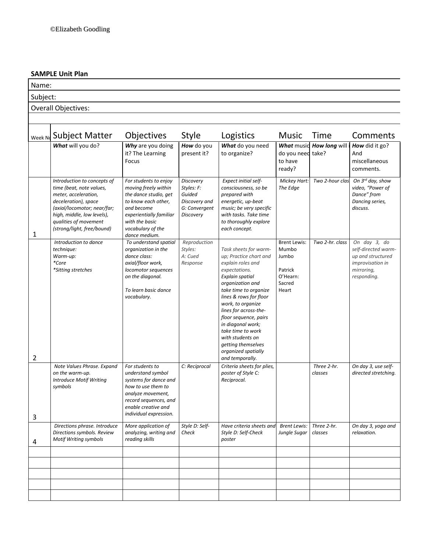# **SAMPLE Unit Plan**

Subject:

Name:

# Overall Objectives:

| Week No | <b>Subject Matter</b>                                                                                                                                                                                                       | Objectives                                                                                                                                                                                     | <b>Style</b>                                                                                   | Logistics                                                                                                                                                                                                                                                                                                                                                                            | <b>Music</b>                                                                    | Time                   | Comments                                                                                                  |
|---------|-----------------------------------------------------------------------------------------------------------------------------------------------------------------------------------------------------------------------------|------------------------------------------------------------------------------------------------------------------------------------------------------------------------------------------------|------------------------------------------------------------------------------------------------|--------------------------------------------------------------------------------------------------------------------------------------------------------------------------------------------------------------------------------------------------------------------------------------------------------------------------------------------------------------------------------------|---------------------------------------------------------------------------------|------------------------|-----------------------------------------------------------------------------------------------------------|
|         | What will you do?                                                                                                                                                                                                           | Why are you doing<br>it? The Learning<br>Focus                                                                                                                                                 | How do you<br>present it?                                                                      | What do you need<br>to organize?                                                                                                                                                                                                                                                                                                                                                     | <b>What music</b><br>do you need<br>to have<br>ready?                           | How long will<br>take? | How did it go?<br>And<br>miscellaneous<br>comments.                                                       |
| 1       | Introduction to concepts of<br>time (beat, note values,<br>meter, acceleration,<br>deceleration), space<br>(axial/locomotor; near/far;<br>high, middle, low levels),<br>qualities of movement<br>(strong/light, free/bound) | For students to enjoy<br>moving freely within<br>the dance studio, get<br>to know each other,<br>and become<br>experientially familiar<br>with the basic<br>vocabulary of the<br>dance medium. | <b>Discovery</b><br>Styles: F:<br>Guided<br>Discovery and<br>G: Convergent<br><b>Discovery</b> | Expect initial self-<br>consciousness, so be<br>prepared with<br>energetic, up-beat<br>music; be very specific<br>with tasks. Take time<br>to thoroughly explore<br>each concept.                                                                                                                                                                                                    | Mickey Hart:<br>The Edge                                                        | Two 2-hour clas.       | On 3rd day, show<br>video, "Power of<br>Dance" from<br>Dancing series,<br>discuss.                        |
| 2       | Introduction to dance<br>technique:<br>Warm-up:<br>*Core<br>*Sitting stretches                                                                                                                                              | To understand spatial<br>organization in the<br>dance class:<br>axial/floor work,<br>locomotor sequences<br>on the diagonal.<br>To learn basic dance<br>vocabulary.                            | Reproduction<br>Styles:<br>A: Cued<br>Response                                                 | Task sheets for warm-<br>up; Practice chart and<br>explain roles and<br>expectations.<br>Explain spatial<br>organization and<br>take time to organize<br>lines & rows for floor<br>work, to organize<br>lines for across-the-<br>floor sequence, pairs<br>in diagonal work;<br>take time to work<br>with students on<br>getting themselves<br>organized spatially<br>and temporally. | <b>Brent Lewis:</b><br>Mumbo<br>Jumbo<br>Patrick<br>O'Hearn:<br>Sacred<br>Heart | Two 2-hr. class        | On day 3, do<br>self-directed warm-<br>up and structured<br>improvisation in<br>mirroring,<br>responding. |
| 3       | Note Values Phrase. Expand<br>on the warm-up.<br><b>Introduce Motif Writing</b><br>symbols                                                                                                                                  | For students to<br>understand symbol<br>systems for dance and<br>how to use them to<br>analyze movement,<br>record sequences, and<br>enable creative and<br>individual expression.             | C: Reciprocal                                                                                  | Criteria sheets for plies,<br>poster of Style C:<br>Reciprocal.                                                                                                                                                                                                                                                                                                                      |                                                                                 | Three 2-hr.<br>classes | On day 3, use self-<br>directed stretching.                                                               |
| 4       | Directions phrase. Introduce<br>Directions symbols. Review<br>Motif Writing symbols                                                                                                                                         | More application of<br>analyzing, writing and<br>reading skills                                                                                                                                | Style D: Self-<br>Check                                                                        | Have criteria sheets and<br>Style D: Self-Check<br>poster                                                                                                                                                                                                                                                                                                                            | <b>Brent Lewis:</b><br>Jungle Sugar   classes                                   | Three 2-hr.            | On day 3, yoga and<br>relaxation.                                                                         |
|         |                                                                                                                                                                                                                             |                                                                                                                                                                                                |                                                                                                |                                                                                                                                                                                                                                                                                                                                                                                      |                                                                                 |                        |                                                                                                           |
|         |                                                                                                                                                                                                                             |                                                                                                                                                                                                |                                                                                                |                                                                                                                                                                                                                                                                                                                                                                                      |                                                                                 |                        |                                                                                                           |
|         |                                                                                                                                                                                                                             |                                                                                                                                                                                                |                                                                                                |                                                                                                                                                                                                                                                                                                                                                                                      |                                                                                 |                        |                                                                                                           |
|         |                                                                                                                                                                                                                             |                                                                                                                                                                                                |                                                                                                |                                                                                                                                                                                                                                                                                                                                                                                      |                                                                                 |                        |                                                                                                           |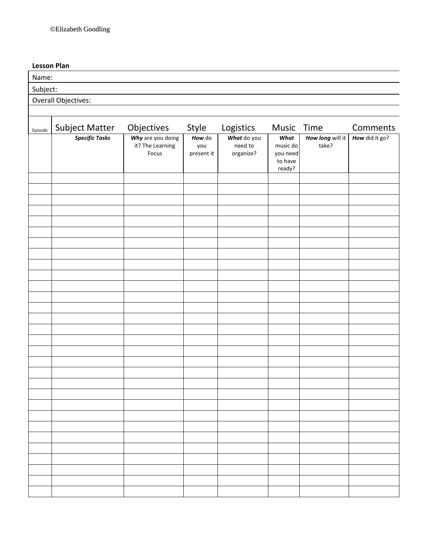### **Lesson Plan**

| Lesson Pian         |                       |                                                |                             |                                     |                                                   |                           |                |  |
|---------------------|-----------------------|------------------------------------------------|-----------------------------|-------------------------------------|---------------------------------------------------|---------------------------|----------------|--|
| Name:               |                       |                                                |                             |                                     |                                                   |                           |                |  |
| Subject:            |                       |                                                |                             |                                     |                                                   |                           |                |  |
| Overall Objectives: |                       |                                                |                             |                                     |                                                   |                           |                |  |
|                     |                       |                                                |                             |                                     |                                                   |                           |                |  |
| Episode             | <b>Subject Matter</b> | Objectives                                     | Style                       | Logistics                           | Music                                             | Time                      | Comments       |  |
|                     | <b>Specific Tasks</b> | Why are you doing<br>it? The Learning<br>Focus | How do<br>you<br>present it | What do you<br>need to<br>organize? | What<br>music do<br>you need<br>to have<br>ready? | How long will it<br>take? | How did it go? |  |
|                     |                       |                                                |                             |                                     |                                                   |                           |                |  |
|                     |                       |                                                |                             |                                     |                                                   |                           |                |  |
|                     |                       |                                                |                             |                                     |                                                   |                           |                |  |
|                     |                       |                                                |                             |                                     |                                                   |                           |                |  |
|                     |                       |                                                |                             |                                     |                                                   |                           |                |  |
|                     |                       |                                                |                             |                                     |                                                   |                           |                |  |
|                     |                       |                                                |                             |                                     |                                                   |                           |                |  |
|                     |                       |                                                |                             |                                     |                                                   |                           |                |  |
|                     |                       |                                                |                             |                                     |                                                   |                           |                |  |
|                     |                       |                                                |                             |                                     |                                                   |                           |                |  |
|                     |                       |                                                |                             |                                     |                                                   |                           |                |  |
|                     |                       |                                                |                             |                                     |                                                   |                           |                |  |
|                     |                       |                                                |                             |                                     |                                                   |                           |                |  |
|                     |                       |                                                |                             |                                     |                                                   |                           |                |  |
|                     |                       |                                                |                             |                                     |                                                   |                           |                |  |
|                     |                       |                                                |                             |                                     |                                                   |                           |                |  |
|                     |                       |                                                |                             |                                     |                                                   |                           |                |  |
|                     |                       |                                                |                             |                                     |                                                   |                           |                |  |
|                     |                       |                                                |                             |                                     |                                                   |                           |                |  |
|                     |                       |                                                |                             |                                     |                                                   |                           |                |  |
|                     |                       |                                                |                             |                                     |                                                   |                           |                |  |
|                     |                       |                                                |                             |                                     |                                                   |                           |                |  |
|                     |                       |                                                |                             |                                     |                                                   |                           |                |  |
|                     |                       |                                                |                             |                                     |                                                   |                           |                |  |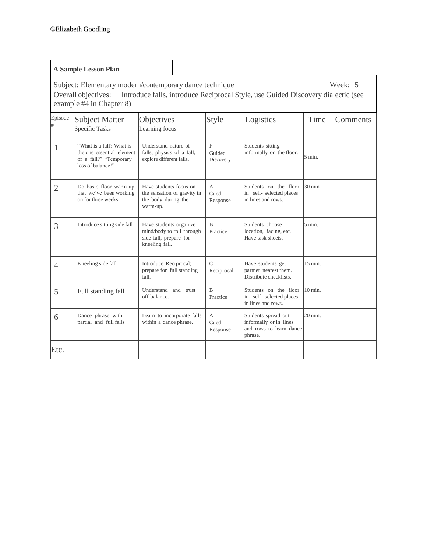|                                                                                                                                                                                                        | <b>A Sample Lesson Plan</b>                                                                          |                                                                                                 |                                     |                                                                                     |                    |          |  |  |
|--------------------------------------------------------------------------------------------------------------------------------------------------------------------------------------------------------|------------------------------------------------------------------------------------------------------|-------------------------------------------------------------------------------------------------|-------------------------------------|-------------------------------------------------------------------------------------|--------------------|----------|--|--|
| Week: 5<br>Subject: Elementary modern/contemporary dance technique<br>Overall objectives: Introduce falls, introduce Reciprocal Style, use Guided Discovery dialectic (see<br>example #4 in Chapter 8) |                                                                                                      |                                                                                                 |                                     |                                                                                     |                    |          |  |  |
| Episode                                                                                                                                                                                                | <b>Subject Matter</b><br><b>Specific Tasks</b>                                                       | Objectives<br>Learning focus                                                                    | Style                               | Logistics                                                                           | Time               | Comments |  |  |
| 1                                                                                                                                                                                                      | "What is a fall? What is<br>the one essential element<br>of a fall?" "Temporary<br>loss of balance!" | Understand nature of<br>falls, physics of a fall,<br>explore different falls.                   | $\mathbf{F}$<br>Guided<br>Discovery | Students sitting<br>informally on the floor.                                        | $5 \text{ min.}$   |          |  |  |
| $\overline{2}$                                                                                                                                                                                         | Do basic floor warm-up<br>that we've been working<br>on for three weeks.                             | Have students focus on<br>the sensation of gravity in<br>the body during the<br>warm-up.        | A<br>Cued<br>Response               | Students on the floor<br>in self- selected places<br>in lines and rows.             | $30 \text{ min}$   |          |  |  |
| 3                                                                                                                                                                                                      | Introduce sitting side fall                                                                          | Have students organize<br>mind/body to roll through<br>side fall, prepare for<br>kneeling fall. | $\overline{B}$<br>Practice          | Students choose<br>location, facing, etc.<br>Have task sheets.                      | $5 \text{ min.}$   |          |  |  |
| $\overline{4}$                                                                                                                                                                                         | Kneeling side fall                                                                                   | Introduce Reciprocal;<br>prepare for full standing<br>fall.                                     | $\mathcal{C}$<br>Reciprocal         | Have students get<br>partner nearest them.<br>Distribute checklists.                | $15 \text{ min}$ . |          |  |  |
| 5                                                                                                                                                                                                      | Full standing fall                                                                                   | Understand and trust<br>off-balance.                                                            | $\mathbf B$<br>Practice             | Students on the floor<br>in self- selected places<br>in lines and rows.             | $10 \text{ min}$ . |          |  |  |
| 6                                                                                                                                                                                                      | Dance phrase with<br>partial and full falls                                                          | Learn to incorporate falls<br>within a dance phrase.                                            | A<br>Cued<br>Response               | Students spread out<br>informally or in lines<br>and rows to learn dance<br>phrase. | $20 \text{ min}$ . |          |  |  |
| Etc.                                                                                                                                                                                                   |                                                                                                      |                                                                                                 |                                     |                                                                                     |                    |          |  |  |